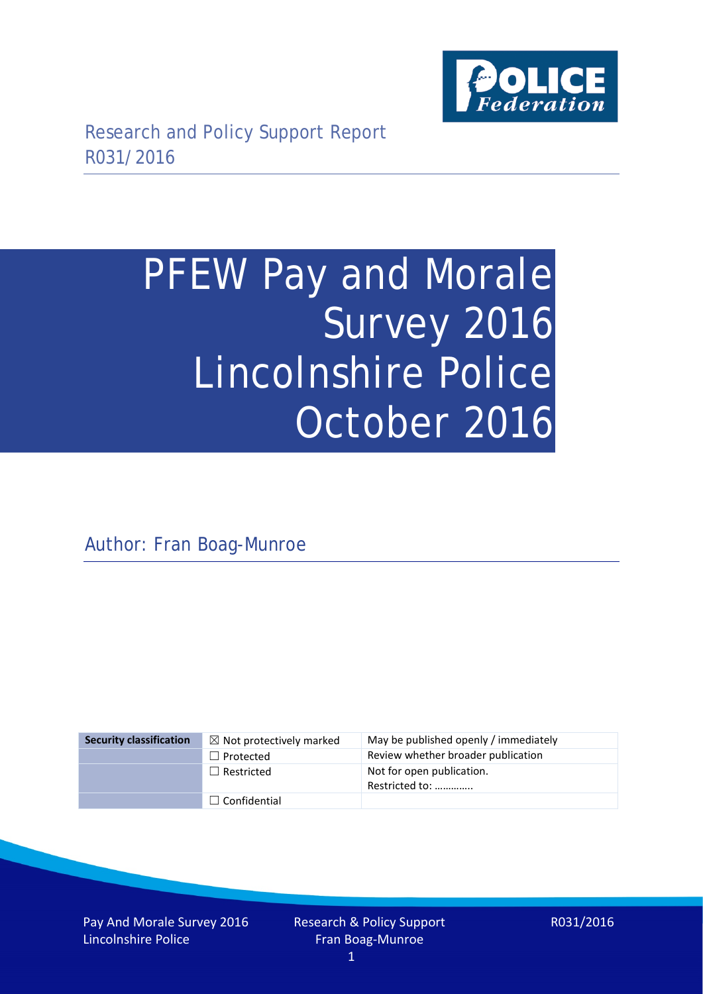

# PFEW Pay and Morale Survey 2016 Lincolnshire Police October 2016

Author: Fran Boag-Munroe

| <b>Security classification</b> | $\boxtimes$ Not protectively marked | May be published openly / immediately       |
|--------------------------------|-------------------------------------|---------------------------------------------|
|                                | $\Box$ Protected                    | Review whether broader publication          |
|                                | $\Box$ Restricted                   | Not for open publication.<br>Restricted to: |
|                                | $\Box$ Confidential                 |                                             |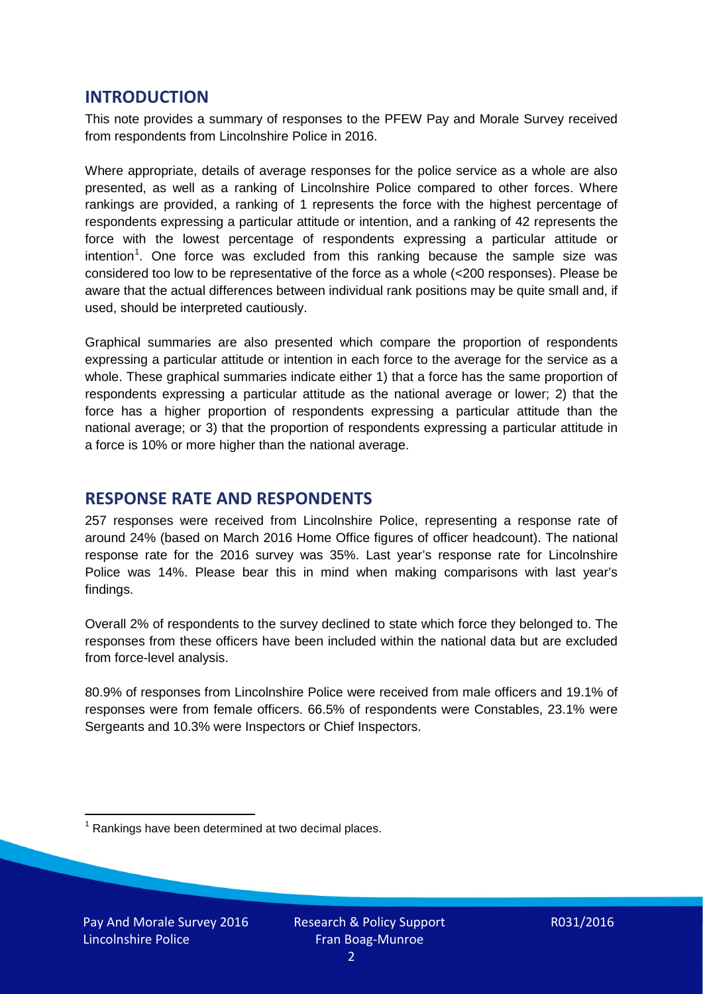## **INTRODUCTION**

This note provides a summary of responses to the PFEW Pay and Morale Survey received from respondents from Lincolnshire Police in 2016.

Where appropriate, details of average responses for the police service as a whole are also presented, as well as a ranking of Lincolnshire Police compared to other forces. Where rankings are provided, a ranking of 1 represents the force with the highest percentage of respondents expressing a particular attitude or intention, and a ranking of 42 represents the force with the lowest percentage of respondents expressing a particular attitude or intention<sup>[1](#page-1-0)</sup>. One force was excluded from this ranking because the sample size was considered too low to be representative of the force as a whole (<200 responses). Please be aware that the actual differences between individual rank positions may be quite small and, if used, should be interpreted cautiously.

Graphical summaries are also presented which compare the proportion of respondents expressing a particular attitude or intention in each force to the average for the service as a whole. These graphical summaries indicate either 1) that a force has the same proportion of respondents expressing a particular attitude as the national average or lower; 2) that the force has a higher proportion of respondents expressing a particular attitude than the national average; or 3) that the proportion of respondents expressing a particular attitude in a force is 10% or more higher than the national average.

## **RESPONSE RATE AND RESPONDENTS**

257 responses were received from Lincolnshire Police, representing a response rate of around 24% (based on March 2016 Home Office figures of officer headcount). The national response rate for the 2016 survey was 35%. Last year's response rate for Lincolnshire Police was 14%. Please bear this in mind when making comparisons with last year's findings.

Overall 2% of respondents to the survey declined to state which force they belonged to. The responses from these officers have been included within the national data but are excluded from force-level analysis.

80.9% of responses from Lincolnshire Police were received from male officers and 19.1% of responses were from female officers. 66.5% of respondents were Constables, 23.1% were Sergeants and 10.3% were Inspectors or Chief Inspectors.

<span id="page-1-0"></span> $1$  Rankings have been determined at two decimal places.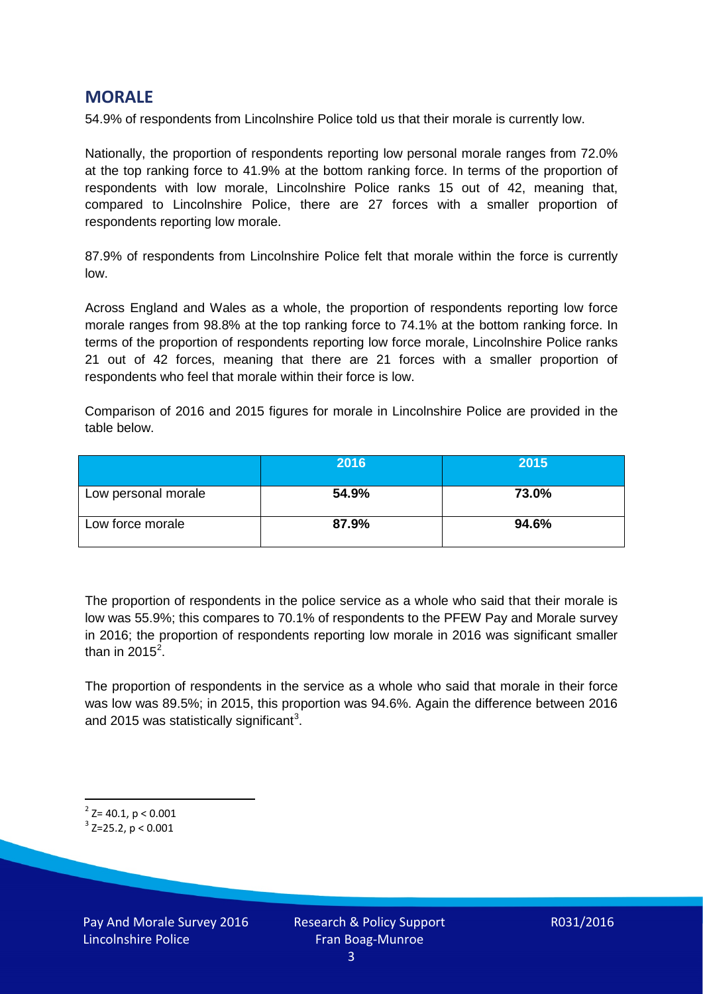## **MORALE**

54.9% of respondents from Lincolnshire Police told us that their morale is currently low.

Nationally, the proportion of respondents reporting low personal morale ranges from 72.0% at the top ranking force to 41.9% at the bottom ranking force. In terms of the proportion of respondents with low morale, Lincolnshire Police ranks 15 out of 42, meaning that, compared to Lincolnshire Police, there are 27 forces with a smaller proportion of respondents reporting low morale.

87.9% of respondents from Lincolnshire Police felt that morale within the force is currently low.

Across England and Wales as a whole, the proportion of respondents reporting low force morale ranges from 98.8% at the top ranking force to 74.1% at the bottom ranking force. In terms of the proportion of respondents reporting low force morale, Lincolnshire Police ranks 21 out of 42 forces, meaning that there are 21 forces with a smaller proportion of respondents who feel that morale within their force is low.

Comparison of 2016 and 2015 figures for morale in Lincolnshire Police are provided in the table below.

|                     | 2016  | 2015  |
|---------------------|-------|-------|
| Low personal morale | 54.9% | 73.0% |
| Low force morale    | 87.9% | 94.6% |

The proportion of respondents in the police service as a whole who said that their morale is low was 55.9%; this compares to 70.1% of respondents to the PFEW Pay and Morale survey in 2016; the proportion of respondents reporting low morale in 2016 was significant smaller than in [2](#page-2-0)015 $^2$ .

The proportion of respondents in the service as a whole who said that morale in their force was low was 89.5%; in 2015, this proportion was 94.6%. Again the difference between 2016 and 2015 was statistically significant<sup>[3](#page-2-1)</sup>.

<span id="page-2-0"></span> $2$ <sup>2</sup> Z= 40.1, p < 0.001

<span id="page-2-1"></span> $3$  Z=25.2, p < 0.001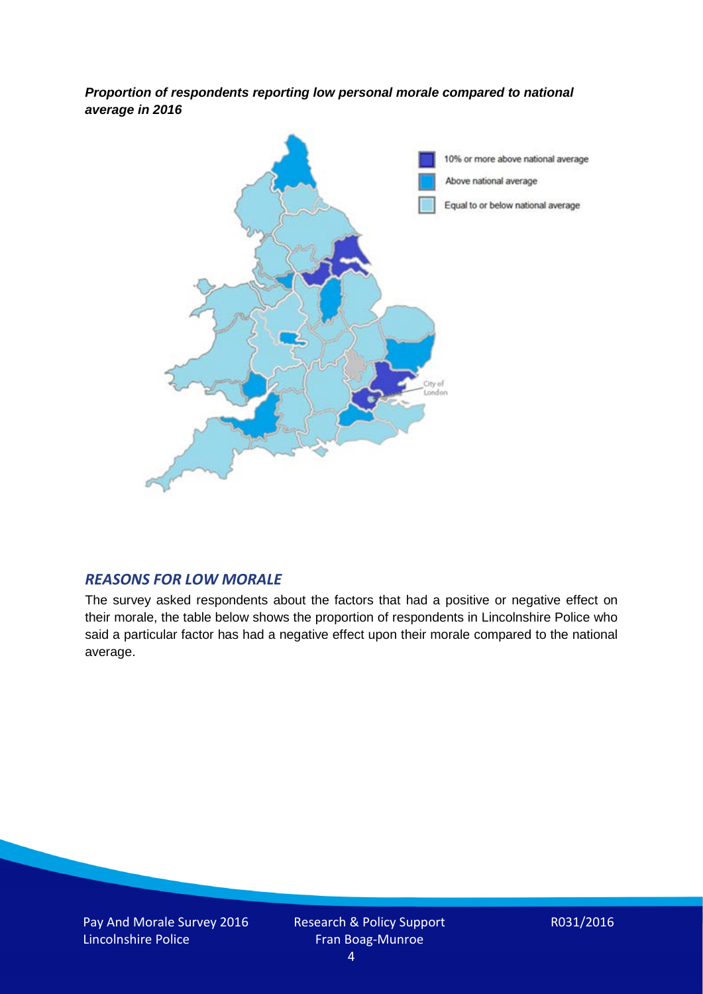*Proportion of respondents reporting low personal morale compared to national average in 2016*



## *REASONS FOR LOW MORALE*

The survey asked respondents about the factors that had a positive or negative effect on their morale, the table below shows the proportion of respondents in Lincolnshire Police who said a particular factor has had a negative effect upon their morale compared to the national average.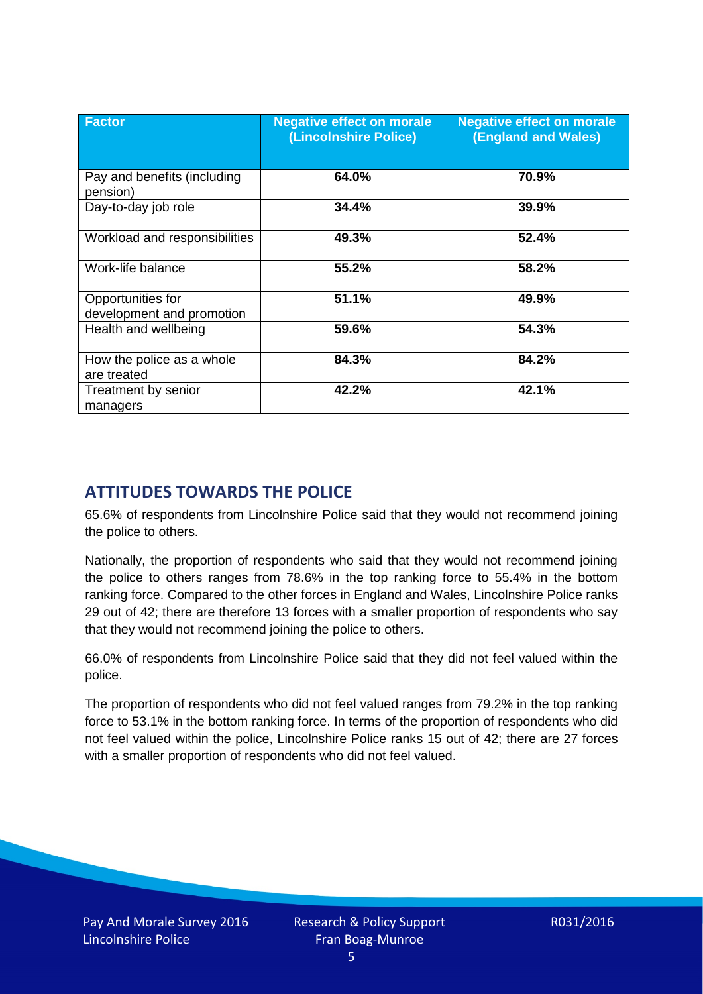| <b>Factor</b>                                  | <b>Negative effect on morale</b><br>(Lincolnshire Police) | <b>Negative effect on morale</b><br><b>(England and Wales)</b> |
|------------------------------------------------|-----------------------------------------------------------|----------------------------------------------------------------|
| Pay and benefits (including<br>pension)        | 64.0%                                                     | 70.9%                                                          |
| Day-to-day job role                            | 34.4%                                                     | 39.9%                                                          |
| Workload and responsibilities                  | 49.3%                                                     | 52.4%                                                          |
| Work-life balance                              | 55.2%                                                     | 58.2%                                                          |
| Opportunities for<br>development and promotion | 51.1%                                                     | 49.9%                                                          |
| Health and wellbeing                           | 59.6%                                                     | 54.3%                                                          |
| How the police as a whole<br>are treated       | 84.3%                                                     | 84.2%                                                          |
| Treatment by senior<br>managers                | 42.2%                                                     | 42.1%                                                          |

# **ATTITUDES TOWARDS THE POLICE**

65.6% of respondents from Lincolnshire Police said that they would not recommend joining the police to others.

Nationally, the proportion of respondents who said that they would not recommend joining the police to others ranges from 78.6% in the top ranking force to 55.4% in the bottom ranking force. Compared to the other forces in England and Wales, Lincolnshire Police ranks 29 out of 42; there are therefore 13 forces with a smaller proportion of respondents who say that they would not recommend joining the police to others.

66.0% of respondents from Lincolnshire Police said that they did not feel valued within the police.

The proportion of respondents who did not feel valued ranges from 79.2% in the top ranking force to 53.1% in the bottom ranking force. In terms of the proportion of respondents who did not feel valued within the police, Lincolnshire Police ranks 15 out of 42; there are 27 forces with a smaller proportion of respondents who did not feel valued.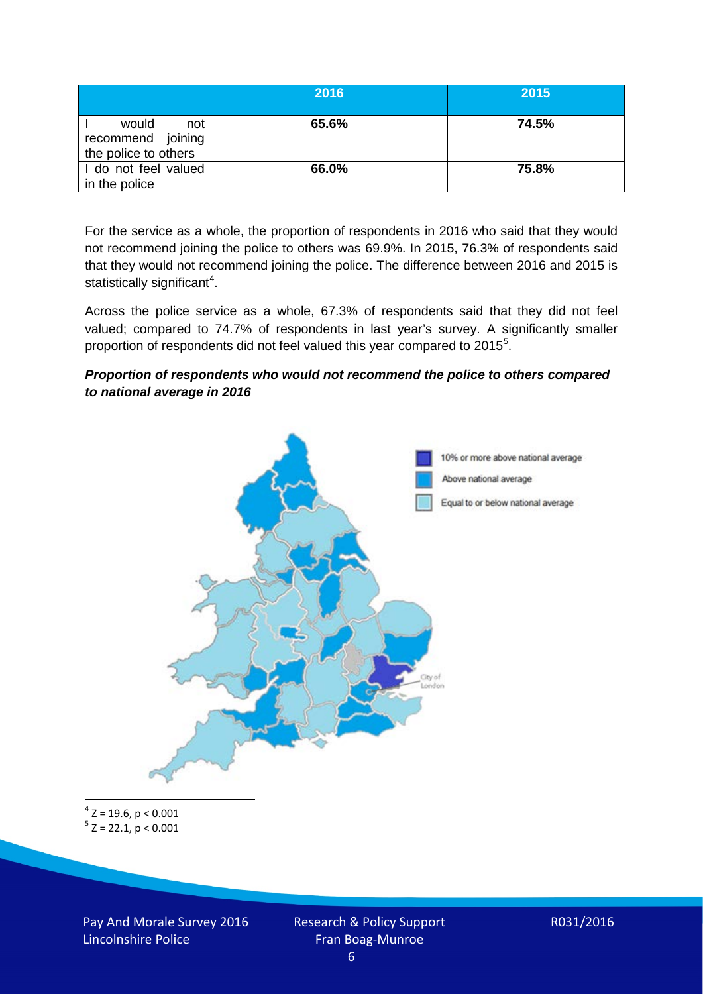|                                                           | 2016  | 2015  |
|-----------------------------------------------------------|-------|-------|
| would<br>not<br>recommend joining<br>the police to others | 65.6% | 74.5% |
| I do not feel valued<br>in the police                     | 66.0% | 75.8% |

For the service as a whole, the proportion of respondents in 2016 who said that they would not recommend joining the police to others was 69.9%. In 2015, 76.3% of respondents said that they would not recommend joining the police. The difference between 2016 and 2015 is statistically significant<sup>[4](#page-5-0)</sup>.

Across the police service as a whole, 67.3% of respondents said that they did not feel valued; compared to 74.7% of respondents in last year's survey. A significantly smaller proportion of respondents did not feel valued this year compared to 201[5](#page-5-1)<sup>5</sup>.

#### *Proportion of respondents who would not recommend the police to others compared to national average in 2016*



<span id="page-5-1"></span><span id="page-5-0"></span> $4$  Z = 19.6, p < 0.001  $5$  Z = 22.1, p < 0.001

Pay And Morale Survey 2016 Lincolnshire Police

Research & Policy Support Fran Boag-Munroe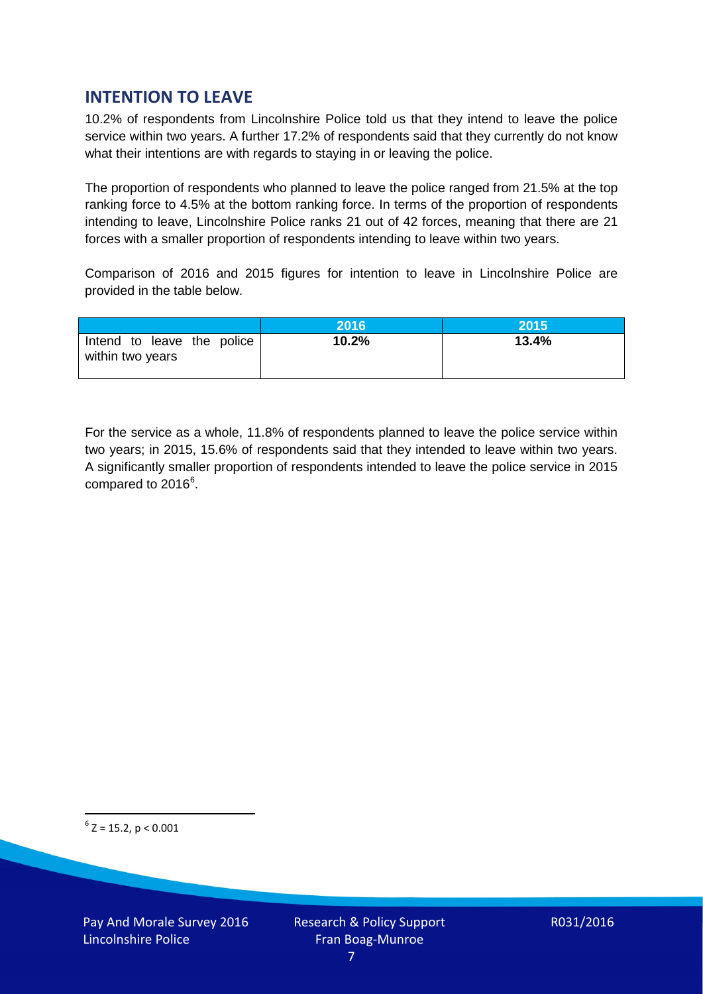# **INTENTION TO LEAVE**

10.2% of respondents from Lincolnshire Police told us that they intend to leave the police service within two years. A further 17.2% of respondents said that they currently do not know what their intentions are with regards to staving in or leaving the police.

The proportion of respondents who planned to leave the police ranged from 21.5% at the top ranking force to 4.5% at the bottom ranking force. In terms of the proportion of respondents intending to leave, Lincolnshire Police ranks 21 out of 42 forces, meaning that there are 21 forces with a smaller proportion of respondents intending to leave within two years.

Comparison of 2016 and 2015 figures for intention to leave in Lincolnshire Police are provided in the table below.

|                                                | 2016  | 2015  |
|------------------------------------------------|-------|-------|
| Intend to leave the police<br>within two years | 10.2% | 13.4% |

For the service as a whole, 11.8% of respondents planned to leave the police service within two years; in 2015, 15.6% of respondents said that they intended to leave within two years. A significantly smaller proportion of respondents intended to leave the police service in 2015 compared to 201[6](#page-6-0)<sup>6</sup>.

<span id="page-6-0"></span> $6$  Z = 15.2, p < 0.001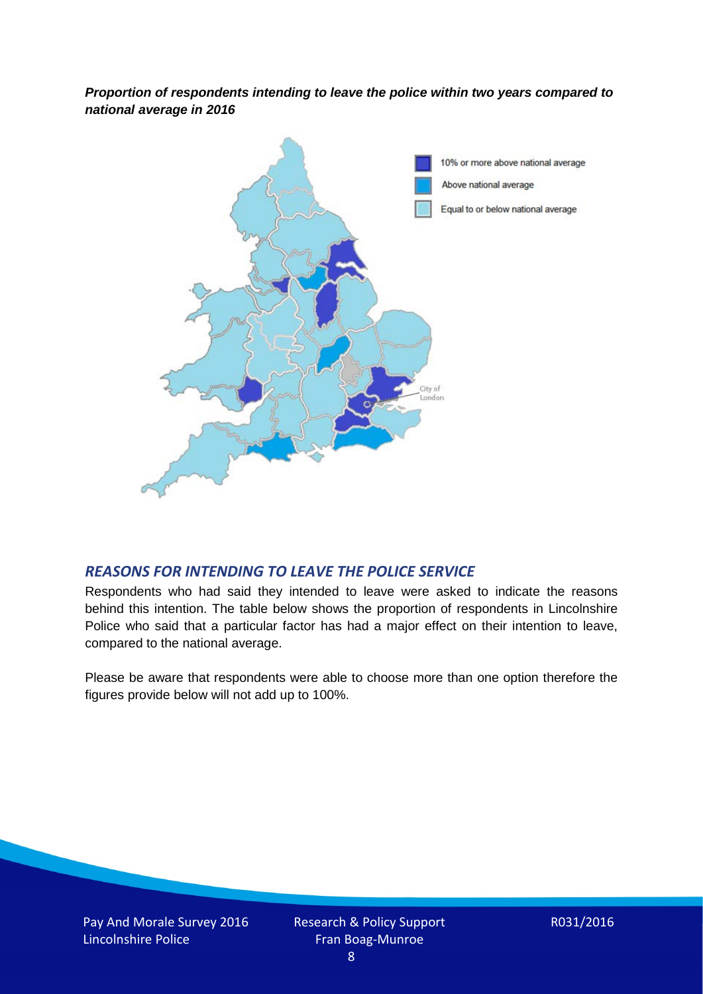*Proportion of respondents intending to leave the police within two years compared to national average in 2016*



## *REASONS FOR INTENDING TO LEAVE THE POLICE SERVICE*

Respondents who had said they intended to leave were asked to indicate the reasons behind this intention. The table below shows the proportion of respondents in Lincolnshire Police who said that a particular factor has had a major effect on their intention to leave, compared to the national average.

Please be aware that respondents were able to choose more than one option therefore the figures provide below will not add up to 100%.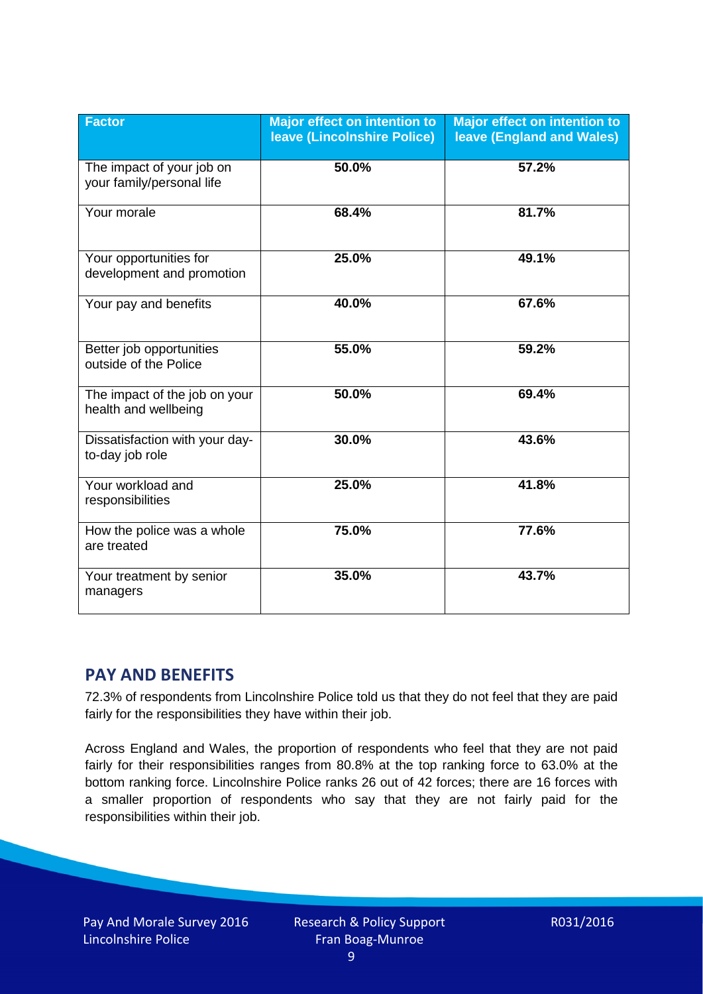| <b>Factor</b>                                          | <b>Major effect on intention to</b><br>leave (Lincolnshire Police) | <b>Major effect on intention to</b><br><b>leave (England and Wales)</b> |
|--------------------------------------------------------|--------------------------------------------------------------------|-------------------------------------------------------------------------|
| The impact of your job on<br>your family/personal life | 50.0%                                                              | 57.2%                                                                   |
| Your morale                                            | 68.4%                                                              | 81.7%                                                                   |
| Your opportunities for<br>development and promotion    | 25.0%                                                              | 49.1%                                                                   |
| Your pay and benefits                                  | 40.0%                                                              | 67.6%                                                                   |
| Better job opportunities<br>outside of the Police      | 55.0%                                                              | 59.2%                                                                   |
| The impact of the job on your<br>health and wellbeing  | 50.0%                                                              | 69.4%                                                                   |
| Dissatisfaction with your day-<br>to-day job role      | 30.0%                                                              | 43.6%                                                                   |
| Your workload and<br>responsibilities                  | 25.0%                                                              | 41.8%                                                                   |
| How the police was a whole<br>are treated              | 75.0%                                                              | 77.6%                                                                   |
| Your treatment by senior<br>managers                   | 35.0%                                                              | 43.7%                                                                   |

# **PAY AND BENEFITS**

72.3% of respondents from Lincolnshire Police told us that they do not feel that they are paid fairly for the responsibilities they have within their job.

Across England and Wales, the proportion of respondents who feel that they are not paid fairly for their responsibilities ranges from 80.8% at the top ranking force to 63.0% at the bottom ranking force. Lincolnshire Police ranks 26 out of 42 forces; there are 16 forces with a smaller proportion of respondents who say that they are not fairly paid for the responsibilities within their job.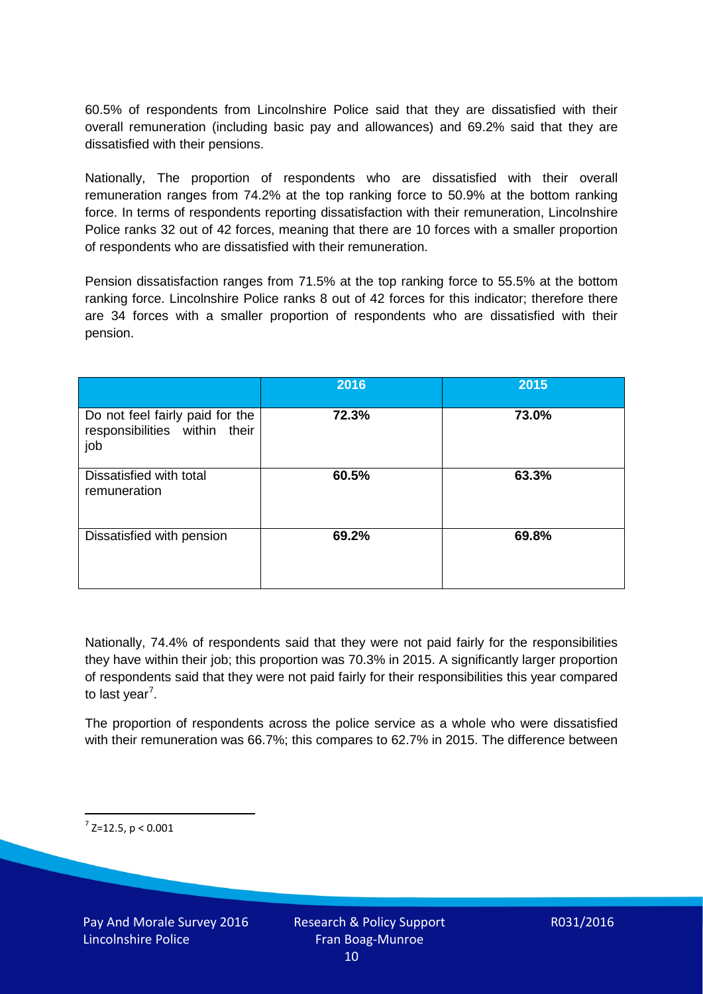60.5% of respondents from Lincolnshire Police said that they are dissatisfied with their overall remuneration (including basic pay and allowances) and 69.2% said that they are dissatisfied with their pensions.

Nationally, The proportion of respondents who are dissatisfied with their overall remuneration ranges from 74.2% at the top ranking force to 50.9% at the bottom ranking force. In terms of respondents reporting dissatisfaction with their remuneration, Lincolnshire Police ranks 32 out of 42 forces, meaning that there are 10 forces with a smaller proportion of respondents who are dissatisfied with their remuneration.

Pension dissatisfaction ranges from 71.5% at the top ranking force to 55.5% at the bottom ranking force. Lincolnshire Police ranks 8 out of 42 forces for this indicator; therefore there are 34 forces with a smaller proportion of respondents who are dissatisfied with their pension.

|                                                                         | 2016  | 2015  |
|-------------------------------------------------------------------------|-------|-------|
| Do not feel fairly paid for the<br>responsibilities within their<br>job | 72.3% | 73.0% |
| Dissatisfied with total<br>remuneration                                 | 60.5% | 63.3% |
| Dissatisfied with pension                                               | 69.2% | 69.8% |

Nationally, 74.4% of respondents said that they were not paid fairly for the responsibilities they have within their job; this proportion was 70.3% in 2015. A significantly larger proportion of respondents said that they were not paid fairly for their responsibilities this year compared to last year<sup>[7](#page-9-0)</sup>.

The proportion of respondents across the police service as a whole who were dissatisfied with their remuneration was 66.7%; this compares to 62.7% in 2015. The difference between

<span id="page-9-0"></span> $7$  Z=12.5, p < 0.001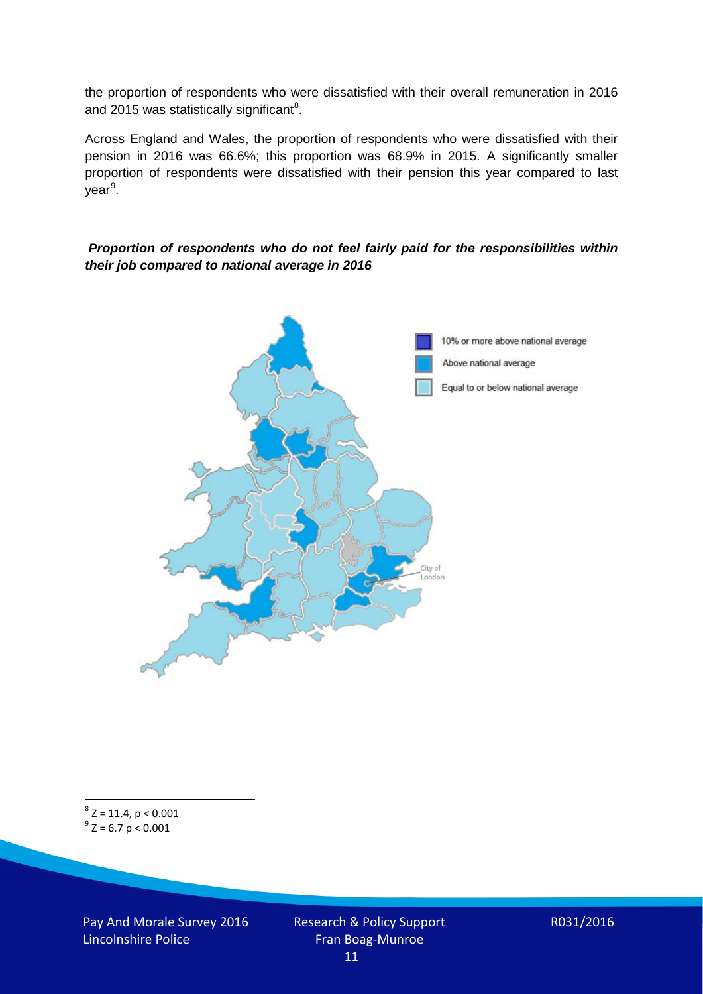the proportion of respondents who were dissatisfied with their overall remuneration in 2016 and 2015 was statistically significant<sup>[8](#page-10-0)</sup>.

Across England and Wales, the proportion of respondents who were dissatisfied with their pension in 2016 was 66.6%; this proportion was 68.9% in 2015. A significantly smaller proportion of respondents were dissatisfied with their pension this year compared to last year<sup>[9](#page-10-1)</sup>.

#### *Proportion of respondents who do not feel fairly paid for the responsibilities within their job compared to national average in 2016*



<span id="page-10-1"></span><span id="page-10-0"></span> $8$  Z = 11.4, p < 0.001  $9^{\circ}$  Z = 6.7 p < 0.001